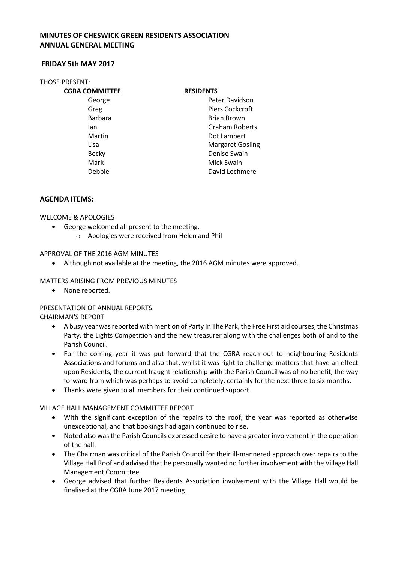# **MINUTES OF CHESWICK GREEN RESIDENTS ASSOCIATION ANNUAL GENERAL MEETING**

### **FRIDAY 5th MAY 2017**

#### THOSE PRESENT:

**CGRA COMMITTEE RESIDENTS** 

George **Peter Davidson** Greg Piers Cockcroft Barbara **Brian Brown** Ian Graham Roberts Martin **Dot Lambert** Lisa Margaret Gosling Becky **Denise Swain** Mark Mick Swain Debbie David Lechmere

## **AGENDA ITEMS:**

WELCOME & APOLOGIES

- George welcomed all present to the meeting,
	- o Apologies were received from Helen and Phil

### APPROVAL OF THE 2016 AGM MINUTES

• Although not available at the meeting, the 2016 AGM minutes were approved.

## MATTERS ARISING FROM PREVIOUS MINUTES

• None reported.

# PRESENTATION OF ANNUAL REPORTS

CHAIRMAN'S REPORT

- A busy year was reported with mention of Party In The Park, the Free First aid courses, the Christmas Party, the Lights Competition and the new treasurer along with the challenges both of and to the Parish Council.
- For the coming year it was put forward that the CGRA reach out to neighbouring Residents Associations and forums and also that, whilst it was right to challenge matters that have an effect upon Residents, the current fraught relationship with the Parish Council was of no benefit, the way forward from which was perhaps to avoid completely, certainly for the next three to six months.
- Thanks were given to all members for their continued support.

### VILLAGE HALL MANAGEMENT COMMITTEE REPORT

- With the significant exception of the repairs to the roof, the year was reported as otherwise unexceptional, and that bookings had again continued to rise.
- Noted also was the Parish Councils expressed desire to have a greater involvement in the operation of the hall.
- The Chairman was critical of the Parish Council for their ill-mannered approach over repairs to the Village Hall Roof and advised that he personally wanted no further involvement with the Village Hall Management Committee.
- George advised that further Residents Association involvement with the Village Hall would be finalised at the CGRA June 2017 meeting.